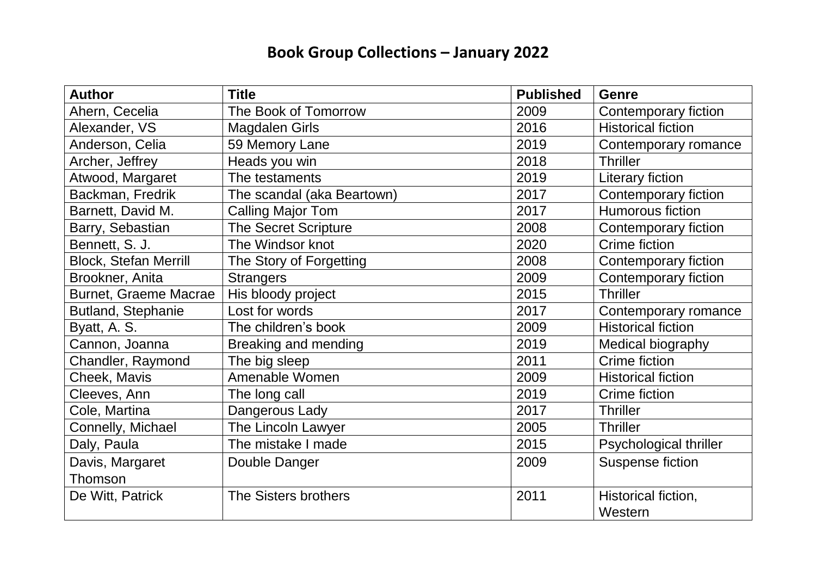## **Book Group Collections – January 2022**

| <b>Author</b>                | <b>Title</b>                | <b>Published</b> | <b>Genre</b>                |
|------------------------------|-----------------------------|------------------|-----------------------------|
| Ahern, Cecelia               | The Book of Tomorrow        | 2009             | Contemporary fiction        |
| Alexander, VS                | <b>Magdalen Girls</b>       | 2016             | <b>Historical fiction</b>   |
| Anderson, Celia              | 59 Memory Lane              | 2019             | Contemporary romance        |
| Archer, Jeffrey              | Heads you win               | 2018             | <b>Thriller</b>             |
| Atwood, Margaret             | The testaments              | 2019             | Literary fiction            |
| Backman, Fredrik             | The scandal (aka Beartown)  | 2017             | <b>Contemporary fiction</b> |
| Barnett, David M.            | <b>Calling Major Tom</b>    | 2017             | <b>Humorous fiction</b>     |
| Barry, Sebastian             | <b>The Secret Scripture</b> | 2008             | <b>Contemporary fiction</b> |
| Bennett, S. J.               | The Windsor knot            | 2020             | Crime fiction               |
| <b>Block, Stefan Merrill</b> | The Story of Forgetting     | 2008             | Contemporary fiction        |
| Brookner, Anita              | <b>Strangers</b>            | 2009             | Contemporary fiction        |
| <b>Burnet, Graeme Macrae</b> | His bloody project          | 2015             | <b>Thriller</b>             |
| Butland, Stephanie           | Lost for words              | 2017             | Contemporary romance        |
| Byatt, A. S.                 | The children's book         | 2009             | <b>Historical fiction</b>   |
| Cannon, Joanna               | Breaking and mending        | 2019             | Medical biography           |
| Chandler, Raymond            | The big sleep               | 2011             | Crime fiction               |
| Cheek, Mavis                 | Amenable Women              | 2009             | <b>Historical fiction</b>   |
| Cleeves, Ann                 | The long call               | 2019             | Crime fiction               |
| Cole, Martina                | Dangerous Lady              | 2017             | <b>Thriller</b>             |
| Connelly, Michael            | The Lincoln Lawyer          | 2005             | <b>Thriller</b>             |
| Daly, Paula                  | The mistake I made          | 2015             | Psychological thriller      |
| Davis, Margaret              | Double Danger               | 2009             | <b>Suspense fiction</b>     |
| Thomson                      |                             |                  |                             |
| De Witt, Patrick             | The Sisters brothers        | 2011             | Historical fiction,         |
|                              |                             |                  | Western                     |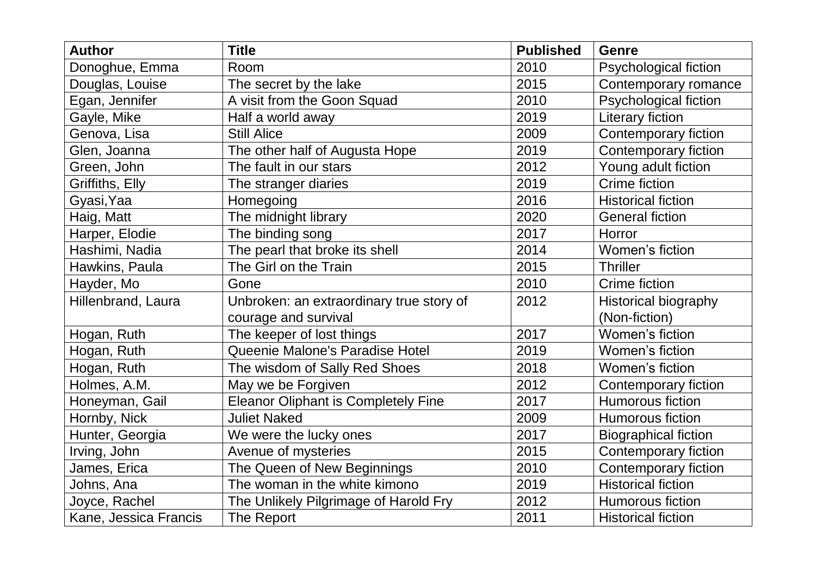| <b>Author</b>             | <b>Title</b>                               | <b>Published</b> | <b>Genre</b>                 |
|---------------------------|--------------------------------------------|------------------|------------------------------|
| Donoghue, Emma            | Room                                       | 2010             | Psychological fiction        |
| Douglas, Louise           | The secret by the lake                     | 2015             | Contemporary romance         |
| Egan, Jennifer            | A visit from the Goon Squad                | 2010             | <b>Psychological fiction</b> |
| Gayle, Mike               | Half a world away                          | 2019             | <b>Literary fiction</b>      |
| Genova, Lisa              | <b>Still Alice</b>                         | 2009             | <b>Contemporary fiction</b>  |
| Glen, Joanna              | The other half of Augusta Hope             | 2019             | Contemporary fiction         |
| Green, John               | The fault in our stars                     | 2012             | Young adult fiction          |
| Griffiths, Elly           | The stranger diaries                       | 2019             | <b>Crime fiction</b>         |
| Gyasi, Yaa                | Homegoing                                  | 2016             | <b>Historical fiction</b>    |
| Haig, Matt                | The midnight library                       | 2020             | <b>General fiction</b>       |
| Harper, Elodie            | The binding song                           | 2017             | Horror                       |
| Hashimi, Nadia            | The pearl that broke its shell             | 2014             | Women's fiction              |
| Hawkins, Paula            | The Girl on the Train                      | 2015             | <b>Thriller</b>              |
| Hayder, Mo                | Gone                                       | 2010             | Crime fiction                |
| <b>Hillenbrand, Laura</b> | Unbroken: an extraordinary true story of   | 2012             | <b>Historical biography</b>  |
|                           | courage and survival                       |                  | (Non-fiction)                |
| Hogan, Ruth               | The keeper of lost things                  | 2017             | Women's fiction              |
| Hogan, Ruth               | Queenie Malone's Paradise Hotel            | 2019             | Women's fiction              |
| Hogan, Ruth               | The wisdom of Sally Red Shoes              | 2018             | Women's fiction              |
| Holmes, A.M.              | May we be Forgiven                         | 2012             | Contemporary fiction         |
| Honeyman, Gail            | <b>Eleanor Oliphant is Completely Fine</b> | 2017             | <b>Humorous fiction</b>      |
| Hornby, Nick              | <b>Juliet Naked</b>                        | 2009             | <b>Humorous fiction</b>      |
| Hunter, Georgia           | We were the lucky ones                     | 2017             | <b>Biographical fiction</b>  |
| Irving, John              | Avenue of mysteries                        | 2015             | Contemporary fiction         |
| James, Erica              | The Queen of New Beginnings                | 2010             | <b>Contemporary fiction</b>  |
| Johns, Ana                | The woman in the white kimono              | 2019             | <b>Historical fiction</b>    |
| Joyce, Rachel             | The Unlikely Pilgrimage of Harold Fry      | 2012             | <b>Humorous fiction</b>      |
| Kane, Jessica Francis     | The Report                                 | 2011             | <b>Historical fiction</b>    |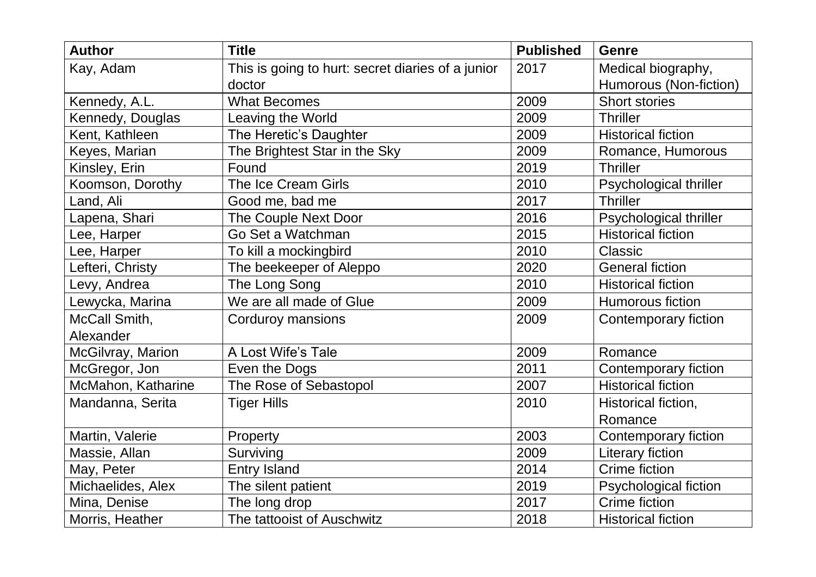| <b>Author</b>      | <b>Title</b>                                      | <b>Published</b> | <b>Genre</b>                |
|--------------------|---------------------------------------------------|------------------|-----------------------------|
| Kay, Adam          | This is going to hurt: secret diaries of a junior | 2017             | Medical biography,          |
|                    | doctor                                            |                  | Humorous (Non-fiction)      |
| Kennedy, A.L.      | <b>What Becomes</b>                               | 2009             | <b>Short stories</b>        |
| Kennedy, Douglas   | Leaving the World                                 | 2009             | <b>Thriller</b>             |
| Kent, Kathleen     | The Heretic's Daughter                            | 2009             | <b>Historical fiction</b>   |
| Keyes, Marian      | The Brightest Star in the Sky                     | 2009             | Romance, Humorous           |
| Kinsley, Erin      | Found                                             | 2019             | <b>Thriller</b>             |
| Koomson, Dorothy   | The Ice Cream Girls                               | 2010             | Psychological thriller      |
| Land, Ali          | Good me, bad me                                   | 2017             | <b>Thriller</b>             |
| Lapena, Shari      | The Couple Next Door                              | 2016             | Psychological thriller      |
| Lee, Harper        | Go Set a Watchman                                 | 2015             | <b>Historical fiction</b>   |
| Lee, Harper        | To kill a mockingbird                             | 2010             | Classic                     |
| Lefteri, Christy   | The beekeeper of Aleppo                           | 2020             | <b>General fiction</b>      |
| Levy, Andrea       | The Long Song                                     | 2010             | <b>Historical fiction</b>   |
| Lewycka, Marina    | We are all made of Glue                           | 2009             | <b>Humorous fiction</b>     |
| McCall Smith,      | Corduroy mansions                                 | 2009             | <b>Contemporary fiction</b> |
| Alexander          |                                                   |                  |                             |
| McGilvray, Marion  | A Lost Wife's Tale                                | 2009             | Romance                     |
| McGregor, Jon      | Even the Dogs                                     | 2011             | Contemporary fiction        |
| McMahon, Katharine | The Rose of Sebastopol                            | 2007             | <b>Historical fiction</b>   |
| Mandanna, Serita   | <b>Tiger Hills</b>                                | 2010             | Historical fiction,         |
|                    |                                                   |                  | Romance                     |
| Martin, Valerie    | Property                                          | 2003             | Contemporary fiction        |
| Massie, Allan      | Surviving                                         | 2009             | <b>Literary fiction</b>     |
| May, Peter         | <b>Entry Island</b>                               | 2014             | <b>Crime fiction</b>        |
| Michaelides, Alex  | The silent patient                                | 2019             | Psychological fiction       |
| Mina, Denise       | The long drop                                     | 2017             | <b>Crime fiction</b>        |
| Morris, Heather    | The tattooist of Auschwitz                        | 2018             | <b>Historical fiction</b>   |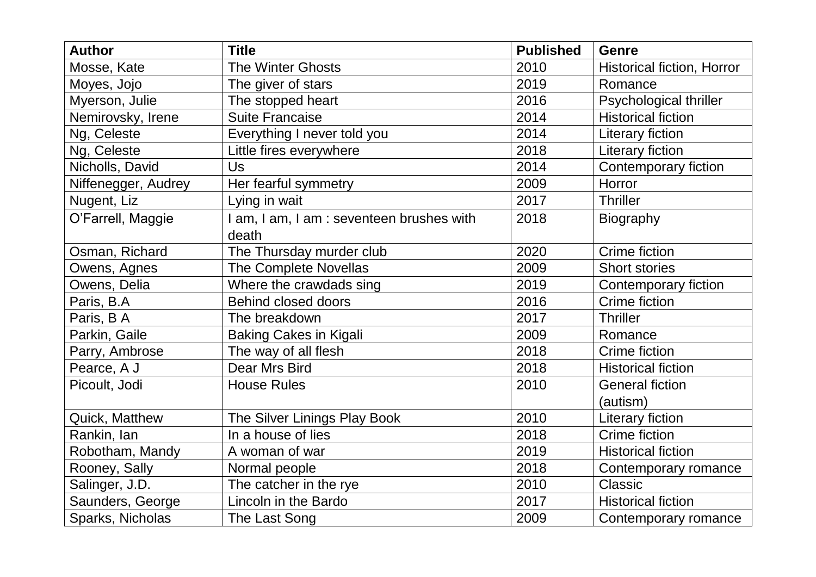| <b>Author</b>       | <b>Title</b>                              | <b>Published</b> | <b>Genre</b>                |
|---------------------|-------------------------------------------|------------------|-----------------------------|
| Mosse, Kate         | <b>The Winter Ghosts</b>                  | 2010             | Historical fiction, Horror  |
| Moyes, Jojo         | The giver of stars                        | 2019             | Romance                     |
| Myerson, Julie      | The stopped heart                         | 2016             | Psychological thriller      |
| Nemirovsky, Irene   | <b>Suite Francaise</b>                    | 2014             | <b>Historical fiction</b>   |
| Ng, Celeste         | Everything I never told you               | 2014             | <b>Literary fiction</b>     |
| Ng, Celeste         | Little fires everywhere                   | 2018             | Literary fiction            |
| Nicholls, David     | Us                                        | 2014             | <b>Contemporary fiction</b> |
| Niffenegger, Audrey | Her fearful symmetry                      | 2009             | Horror                      |
| Nugent, Liz         | Lying in wait                             | 2017             | <b>Thriller</b>             |
| O'Farrell, Maggie   | I am, I am, I am : seventeen brushes with | 2018             | <b>Biography</b>            |
|                     | death                                     |                  |                             |
| Osman, Richard      | The Thursday murder club                  | 2020             | Crime fiction               |
| Owens, Agnes        | <b>The Complete Novellas</b>              | 2009             | <b>Short stories</b>        |
| Owens, Delia        | Where the crawdads sing                   | 2019             | Contemporary fiction        |
| Paris, B.A          | <b>Behind closed doors</b>                | 2016             | Crime fiction               |
| Paris, B A          | The breakdown                             | 2017             | <b>Thriller</b>             |
| Parkin, Gaile       | <b>Baking Cakes in Kigali</b>             | 2009             | Romance                     |
| Parry, Ambrose      | The way of all flesh                      | 2018             | <b>Crime fiction</b>        |
| Pearce, A J         | <b>Dear Mrs Bird</b>                      | 2018             | <b>Historical fiction</b>   |
| Picoult, Jodi       | <b>House Rules</b>                        | 2010             | <b>General fiction</b>      |
|                     |                                           |                  | (autism)                    |
| Quick, Matthew      | The Silver Linings Play Book              | 2010             | Literary fiction            |
| Rankin, lan         | In a house of lies                        | 2018             | <b>Crime fiction</b>        |
| Robotham, Mandy     | A woman of war                            | 2019             | <b>Historical fiction</b>   |
| Rooney, Sally       | Normal people                             | 2018             | Contemporary romance        |
| Salinger, J.D.      | The catcher in the rye                    | 2010             | Classic                     |
| Saunders, George    | Lincoln in the Bardo                      | 2017             | <b>Historical fiction</b>   |
| Sparks, Nicholas    | The Last Song                             | 2009             | Contemporary romance        |